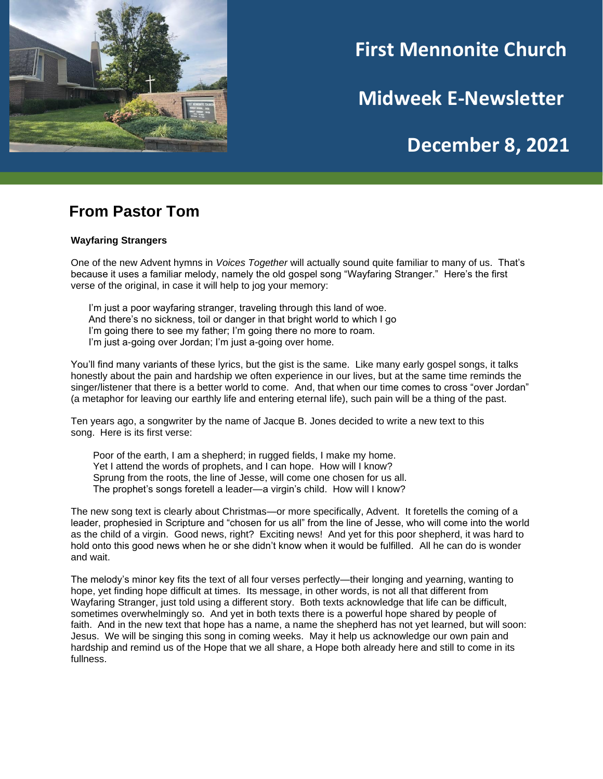

# **First Mennonite Church**

**Midweek E-Newsletter**

# **December 8, 2021**

## **From Pastor Tom**

#### **Wayfaring Strangers**

One of the new Advent hymns in *Voices Together* will actually sound quite familiar to many of us. That's because it uses a familiar melody, namely the old gospel song "Wayfaring Stranger." Here's the first verse of the original, in case it will help to jog your memory:

I'm just a poor wayfaring stranger, traveling through this land of woe. And there's no sickness, toil or danger in that bright world to which I go I'm going there to see my father; I'm going there no more to roam. I'm just a-going over Jordan; I'm just a-going over home.

You'll find many variants of these lyrics, but the gist is the same. Like many early gospel songs, it talks honestly about the pain and hardship we often experience in our lives, but at the same time reminds the singer/listener that there is a better world to come. And, that when our time comes to cross "over Jordan" (a metaphor for leaving our earthly life and entering eternal life), such pain will be a thing of the past.

Ten years ago, a songwriter by the name of Jacque B. Jones decided to write a new text to this song. Here is its first verse:

Poor of the earth, I am a shepherd; in rugged fields, I make my home. Yet I attend the words of prophets, and I can hope. How will I know? Sprung from the roots, the line of Jesse, will come one chosen for us all. The prophet's songs foretell a leader—a virgin's child. How will I know?

The new song text is clearly about Christmas—or more specifically, Advent. It foretells the coming of a leader, prophesied in Scripture and "chosen for us all" from the line of Jesse, who will come into the world as the child of a virgin. Good news, right? Exciting news! And yet for this poor shepherd, it was hard to hold onto this good news when he or she didn't know when it would be fulfilled. All he can do is wonder and wait.

The melody's minor key fits the text of all four verses perfectly—their longing and yearning, wanting to hope, yet finding hope difficult at times. Its message, in other words, is not all that different from Wayfaring Stranger, just told using a different story. Both texts acknowledge that life can be difficult, sometimes overwhelmingly so. And yet in both texts there is a powerful hope shared by people of faith. And in the new text that hope has a name, a name the shepherd has not yet learned, but will soon: Jesus. We will be singing this song in coming weeks. May it help us acknowledge our own pain and hardship and remind us of the Hope that we all share, a Hope both already here and still to come in its fullness.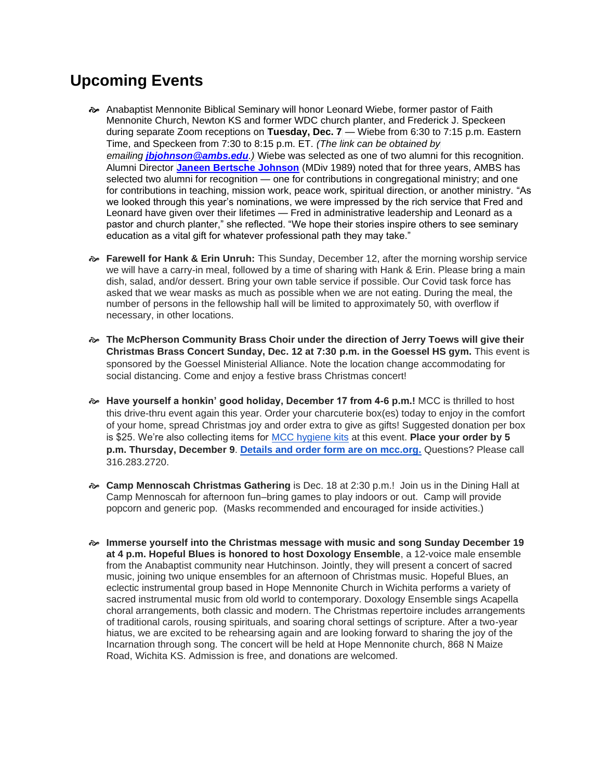# **Upcoming Events**

- Anabaptist Mennonite Biblical Seminary will honor Leonard Wiebe, former pastor of Faith Mennonite Church, Newton KS and former WDC church planter, and Frederick J. Speckeen during separate Zoom receptions on **Tuesday, Dec. 7** — Wiebe from 6:30 to 7:15 p.m. Eastern Time, and Speckeen from 7:30 to 8:15 p.m. ET. *(The link can be obtained by emailing [jbjohnson@ambs.edu](mailto:jbjohnson@ambs.edu).)* Wiebe was selected as one of two alumni for this recognition. Alumni Director **Janeen [Bertsche](https://www.ambs.edu/about/people/749380/janeen-bertsche-johnson) Johnson** (MDiv 1989) noted that for three years, AMBS has selected two alumni for recognition — one for contributions in congregational ministry; and one for contributions in teaching, mission work, peace work, spiritual direction, or another ministry. "As we looked through this year's nominations, we were impressed by the rich service that Fred and Leonard have given over their lifetimes — Fred in administrative leadership and Leonard as a pastor and church planter," she reflected. "We hope their stories inspire others to see seminary education as a vital gift for whatever professional path they may take."
- **Farewell for Hank & Erin Unruh:** This Sunday, December 12, after the morning worship service we will have a carry-in meal, followed by a time of sharing with Hank & Erin. Please bring a main dish, salad, and/or dessert. Bring your own table service if possible. Our Covid task force has asked that we wear masks as much as possible when we are not eating. During the meal, the number of persons in the fellowship hall will be limited to approximately 50, with overflow if necessary, in other locations.
- **The McPherson Community Brass Choir under the direction of Jerry Toews will give their Christmas Brass Concert Sunday, Dec. 12 at 7:30 p.m. in the Goessel HS gym.** This event is sponsored by the Goessel Ministerial Alliance. Note the location change accommodating for social distancing. Come and enjoy a festive brass Christmas concert!
- **Have yourself a honkin' good holiday, December 17 from 4-6 p.m.!** MCC is thrilled to host this drive-thru event again this year. Order your charcuterie box(es) today to enjoy in the comfort of your home, spread Christmas joy and order extra to give as gifts! Suggested donation per box is \$25. We're also collecting items for [MCC hygiene kits](https://mcc.org/get-involved/kits/hygiene) at this event. **Place your order by 5 p.m. Thursday, December 9**. **[Details and order form are on mcc.org.](https://mcc.org/get-involved/events/have-yourself-honkin-good-holiday)** Questions? Please call 316.283.2720.
- **Camp Mennoscah Christmas Gathering** is Dec. 18 at 2:30 p.m.! Join us in the Dining Hall at Camp Mennoscah for afternoon fun–bring games to play indoors or out. Camp will provide popcorn and generic pop. (Masks recommended and encouraged for inside activities.)
- **Immerse yourself into the Christmas message with music and song Sunday December 19 at 4 p.m. Hopeful Blues is honored to host Doxology Ensemble**, a 12-voice male ensemble from the Anabaptist community near Hutchinson. Jointly, they will present a concert of sacred music, joining two unique ensembles for an afternoon of Christmas music. Hopeful Blues, an eclectic instrumental group based in Hope Mennonite Church in Wichita performs a variety of sacred instrumental music from old world to contemporary. Doxology Ensemble sings Acapella choral arrangements, both classic and modern. The Christmas repertoire includes arrangements of traditional carols, rousing spirituals, and soaring choral settings of scripture. After a two-year hiatus, we are excited to be rehearsing again and are looking forward to sharing the joy of the Incarnation through song. The concert will be held at Hope Mennonite church, 868 N Maize Road, Wichita KS. Admission is free, and donations are welcomed.